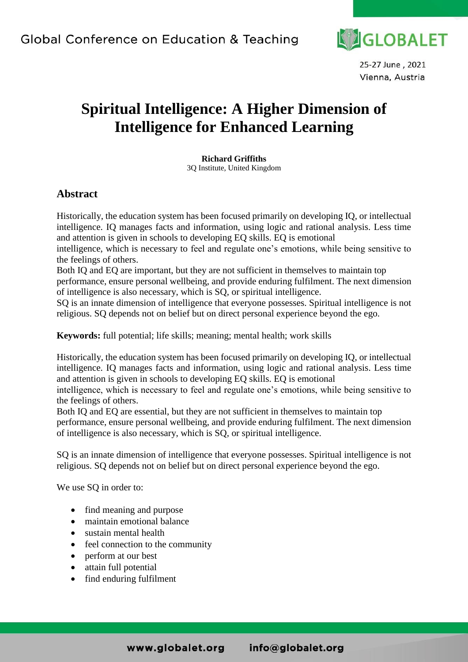

25-27 June, 2021 Vienna, Austria

# **Spiritual Intelligence: A Higher Dimension of Intelligence for Enhanced Learning**

**Richard Griffiths** 3Q Institute, United Kingdom

### **Abstract**

Historically, the education system has been focused primarily on developing IQ, or intellectual intelligence. IQ manages facts and information, using logic and rational analysis. Less time and attention is given in schools to developing EQ skills. EQ is emotional

intelligence, which is necessary to feel and regulate one's emotions, while being sensitive to the feelings of others.

Both IQ and EQ are important, but they are not sufficient in themselves to maintain top performance, ensure personal wellbeing, and provide enduring fulfilment. The next dimension of intelligence is also necessary, which is SQ, or spiritual intelligence.

SQ is an innate dimension of intelligence that everyone possesses. Spiritual intelligence is not religious. SQ depends not on belief but on direct personal experience beyond the ego.

**Keywords:** full potential; life skills; meaning; mental health; work skills

Historically, the education system has been focused primarily on developing IQ, or intellectual intelligence. IQ manages facts and information, using logic and rational analysis. Less time and attention is given in schools to developing EQ skills. EQ is emotional

intelligence, which is necessary to feel and regulate one's emotions, while being sensitive to the feelings of others.

Both IQ and EQ are essential, but they are not sufficient in themselves to maintain top performance, ensure personal wellbeing, and provide enduring fulfilment. The next dimension of intelligence is also necessary, which is SQ, or spiritual intelligence.

SQ is an innate dimension of intelligence that everyone possesses. Spiritual intelligence is not religious. SQ depends not on belief but on direct personal experience beyond the ego.

We use SQ in order to:

- find meaning and purpose
- maintain emotional balance
- sustain mental health
- feel connection to the community
- perform at our best
- attain full potential
- find enduring fulfilment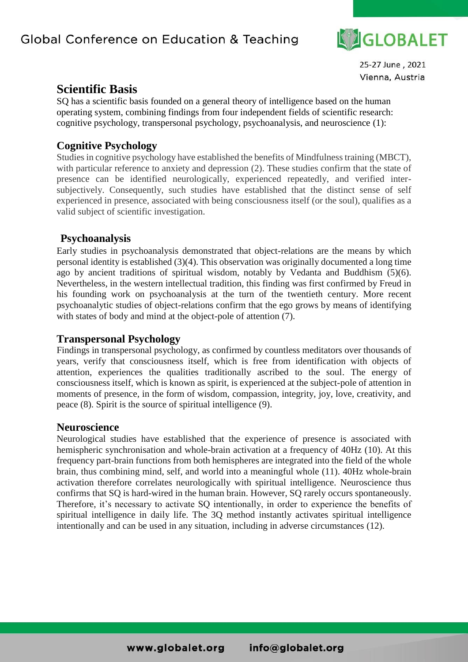

25-27 June, 2021 Vienna, Austria

## **Scientific Basis**

SQ has a scientific basis founded on a general theory of intelligence based on the human operating system, combining findings from four independent fields of scientific research: cognitive psychology, transpersonal psychology, psychoanalysis, and neuroscience (1):

### **[Cognitive Psychology](http://en.wikipedia.org/wiki/Cognitive_psychology)**

Studies in cognitive psychology have established the benefits of Mindfulness training (MBCT), with particular reference to anxiety and depression (2). These studies confirm that the state of presence can be identified neurologically, experienced repeatedly, and verified intersubjectively. Consequently, such studies have established that the distinct sense of self experienced in presence, associated with being consciousness itself (or the soul), qualifies as a valid subject of scientific investigation.

### **[Psychoanalysis](http://en.wikipedia.org/wiki/Psychoanalysis)**

Early studies in psychoanalysis demonstrated that object-relations are the means by which personal identity is established (3)(4). This observation was originally documented a long time ago by ancient traditions of spiritual wisdom, notably by Vedanta and Buddhism (5)(6). Nevertheless, in the western intellectual tradition, this finding was first confirmed by Freud in his founding work on psychoanalysis at the turn of the twentieth century. More recent psychoanalytic studies of object-relations confirm that the ego grows by means of identifying with states of body and mind at the object-pole of attention (7).

### **[Transpersonal Psychology](http://en.wikipedia.org/wiki/Transpersonal_psychology)**

Findings in transpersonal psychology, as confirmed by countless meditators over thousands of years, verify that consciousness itself, which is free from identification with objects of attention, experiences the qualities traditionally ascribed to the soul. The energy of consciousness itself, which is known as spirit, is experienced at the subject-pole of attention in moments of presence, in the form of wisdom, compassion, integrity, joy, love, creativity, and peace (8). Spirit is the source of spiritual intelligence (9).

### **[Neuroscience](http://en.wikipedia.org/wiki/Neuroscience)**

Neurological studies have established that the experience of presence is associated with hemispheric synchronisation and whole-brain activation at a frequency of 40Hz (10). At this frequency part-brain functions from both hemispheres are integrated into the field of the whole brain, thus combining mind, self, and world into a meaningful whole (11). 40Hz whole-brain activation therefore correlates neurologically with spiritual intelligence. Neuroscience thus confirms that SQ is hard-wired in the human brain. However, SQ rarely occurs spontaneously. Therefore, it's necessary to activate SQ intentionally, in order to experience the benefits of spiritual intelligence in daily life. The 3Q method instantly activates spiritual intelligence intentionally and can be used in any situation, including in adverse circumstances (12).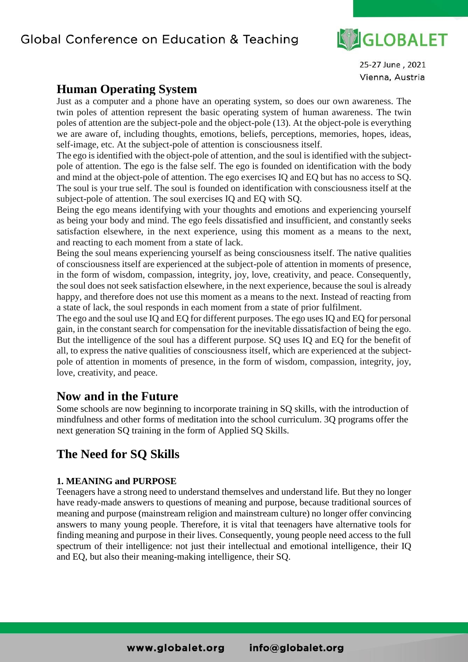

25-27 June, 2021 Vienna, Austria

## **Human Operating System**

Just as a computer and a phone have an operating system, so does our own awareness. The twin poles of attention represent the basic operating system of human awareness. The twin poles of attention are the subject-pole and the object-pole (13). At the object-pole is everything we are aware of, including thoughts, emotions, beliefs, perceptions, memories, hopes, ideas, self-image, etc. At the subject-pole of attention is consciousness itself.

The ego is identified with the object-pole of attention, and the soul is identified with the subjectpole of attention. The ego is the false self. The ego is founded on identification with the body and mind at the object-pole of attention. The ego exercises IQ and EQ but has no access to SQ. The soul is your true self. The soul is founded on identification with consciousness itself at the subject-pole of attention. The soul exercises IQ and EQ with SQ.

Being the ego means identifying with your thoughts and emotions and experiencing yourself as being your body and mind. The ego feels dissatisfied and insufficient, and constantly seeks satisfaction elsewhere, in the next experience, using this moment as a means to the next, and reacting to each moment from a state of lack.

Being the soul means experiencing yourself as being consciousness itself. The native qualities of consciousness itself are experienced at the subject-pole of attention in moments of presence, in the form of wisdom, compassion, integrity, joy, love, creativity, and peace. Consequently, the soul does not seek satisfaction elsewhere, in the next experience, because the soul is already happy, and therefore does not use this moment as a means to the next. Instead of reacting from a state of lack, the soul responds in each moment from a state of prior fulfilment.

The ego and the soul use IQ and EQ for different purposes. The ego uses IQ and EQ for personal gain, in the constant search for compensation for the inevitable dissatisfaction of being the ego. But the intelligence of the soul has a different purpose. SQ uses IQ and EQ for the benefit of all, to express the native qualities of consciousness itself, which are experienced at the subjectpole of attention in moments of presence, in the form of wisdom, compassion, integrity, joy, love, creativity, and peace.

## **Now and in the Future**

Some schools are now beginning to incorporate training in SQ skills, with the introduction of mindfulness and other forms of meditation into the school curriculum. 3Q programs offer the next generation SQ training in the form of Applied SQ Skills.

## **The Need for SQ Skills**

#### **1. MEANING and PURPOSE**

Teenagers have a strong need to understand themselves and understand life. But they no longer have ready-made answers to questions of meaning and purpose, because traditional sources of meaning and purpose (mainstream religion and mainstream culture) no longer offer convincing answers to many young people. Therefore, it is vital that teenagers have alternative tools for finding meaning and purpose in their lives. Consequently, young people need access to the full spectrum of their intelligence: not just their intellectual and emotional intelligence, their IQ and EQ, but also their meaning-making intelligence, their SQ.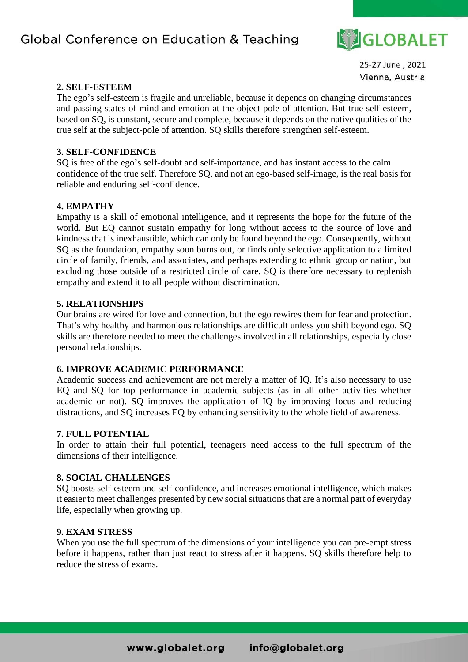

25-27 June, 2021 Vienna, Austria

#### **2. SELF-ESTEEM**

The ego's self-esteem is fragile and unreliable, because it depends on changing circumstances and passing states of mind and emotion at the object-pole of attention. But true self-esteem, based on SQ, is constant, secure and complete, because it depends on the native qualities of the true self at the subject-pole of attention. SQ skills therefore strengthen self-esteem.

#### **3. SELF-CONFIDENCE**

SQ is free of the ego's self-doubt and self-importance, and has instant access to the calm confidence of the true self. Therefore SQ, and not an ego-based self-image, is the real basis for reliable and enduring self-confidence.

#### **4. EMPATHY**

Empathy is a skill of emotional intelligence, and it represents the hope for the future of the world. But EQ cannot sustain empathy for long without access to the source of love and kindness that is inexhaustible, which can only be found beyond the ego. Consequently, without SQ as the foundation, empathy soon burns out, or finds only selective application to a limited circle of family, friends, and associates, and perhaps extending to ethnic group or nation, but excluding those outside of a restricted circle of care. SQ is therefore necessary to replenish empathy and extend it to all people without discrimination.

#### **5. RELATIONSHIPS**

Our brains are wired for love and connection, but the ego rewires them for fear and protection. That's why healthy and harmonious relationships are difficult unless you shift beyond ego. SQ skills are therefore needed to meet the challenges involved in all relationships, especially close personal relationships.

#### **6. IMPROVE ACADEMIC PERFORMANCE**

Academic success and achievement are not merely a matter of IQ. It's also necessary to use EQ and SQ for top performance in academic subjects (as in all other activities whether academic or not). SQ improves the application of IQ by improving focus and reducing distractions, and SQ increases EQ by enhancing sensitivity to the whole field of awareness.

#### **7. FULL POTENTIAL**

In order to attain their full potential, teenagers need access to the full spectrum of the dimensions of their intelligence.

#### **8. SOCIAL CHALLENGES**

SQ boosts self-esteem and self-confidence, and increases emotional intelligence, which makes it easier to meet challenges presented by new social situations that are a normal part of everyday life, especially when growing up.

#### **9. EXAM STRESS**

When you use the full spectrum of the dimensions of your intelligence you can pre-empt stress before it happens, rather than just react to stress after it happens. SQ skills therefore help to reduce the stress of exams.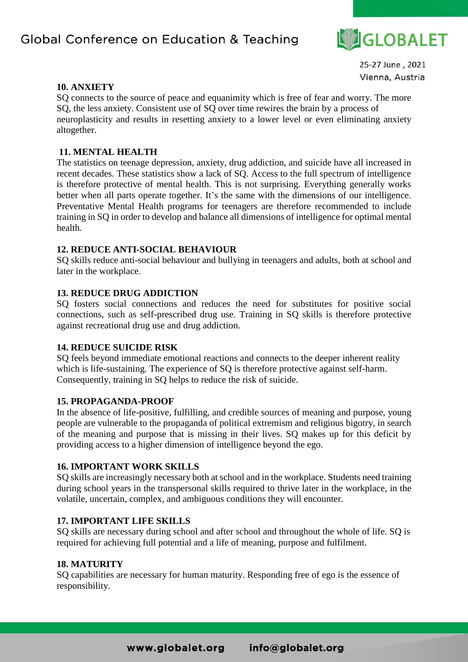

25-27 June, 2021 Vienna, Austria

#### **10. ANXIETY**

SQ connects to the source of peace and equanimity which is free of fear and worry. The more SQ, the less anxiety. Consistent use of SQ over time rewires the brain by a process of neuroplasticity and results in resetting anxiety to a lower level or even eliminating anxiety altogether.

#### **11. MENTAL HEALTH**

The statistics on teenage depression, anxiety, drug addiction, and suicide have all increased in recent decades. These statistics show a lack of SQ. Access to the full spectrum of intelligence is therefore protective of mental health. This is not surprising. Everything generally works better when all parts operate together. It's the same with the dimensions of our intelligence. Preventative Mental Health programs for teenagers are therefore recommended to include training in SQ in order to develop and balance all dimensions of intelligence for optimal mental health.

#### **12. REDUCE ANTI-SOCIAL BEHAVIOUR**

SQ skills reduce anti-social behaviour and bullying in teenagers and adults, both at school and later in the workplace.

#### **13. REDUCE DRUG ADDICTION**

SQ fosters social connections and reduces the need for substitutes for positive social connections, such as self-prescribed drug use. Training in SQ skills is therefore protective against recreational drug use and drug addiction.

#### **14. REDUCE SUICIDE RISK**

SQ feels beyond immediate emotional reactions and connects to the deeper inherent reality which is life-sustaining. The experience of SQ is therefore protective against self-harm. Consequently, training in SQ helps to reduce the risk of suicide.

#### **15. PROPAGANDA-PROOF**

In the absence of life-positive, fulfilling, and credible sources of meaning and purpose, young people are vulnerable to the propaganda of political extremism and religious bigotry, in search of the meaning and purpose that is missing in their lives. SQ makes up for this deficit by providing access to a higher dimension of intelligence beyond the ego.

#### **16. IMPORTANT WORK SKILLS**

SQ skills are increasingly necessary both at school and in the workplace. Students need training during school years in the transpersonal skills required to thrive later in the workplace, in the volatile, uncertain, complex, and ambiguous conditions they will encounter.

#### **17. IMPORTANT LIFE SKILLS**

SQ skills are necessary during school and after school and throughout the whole of life. SQ is required for achieving full potential and a life of meaning, purpose and fulfilment.

#### **18. MATURITY**

SQ capabilities are necessary for human maturity. Responding free of ego is the essence of responsibility.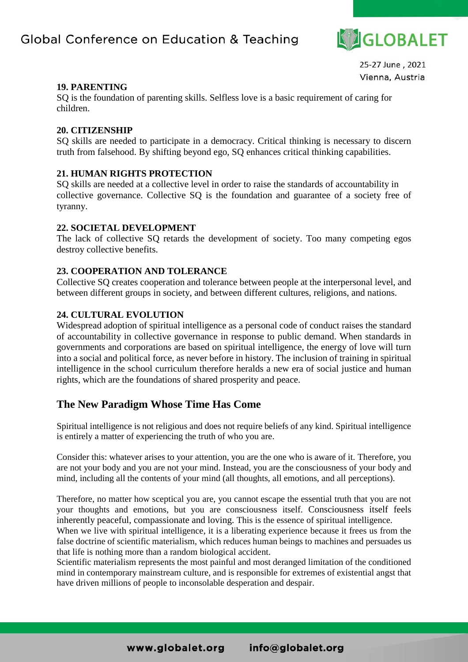

25-27 June, 2021 Vienna, Austria

#### **19. PARENTING**

SQ is the foundation of parenting skills. Selfless love is a basic requirement of caring for children.

#### **20. CITIZENSHIP**

SQ skills are needed to participate in a democracy. Critical thinking is necessary to discern truth from falsehood. By shifting beyond ego, SQ enhances critical thinking capabilities.

#### **21. HUMAN RIGHTS PROTECTION**

SQ skills are needed at a collective level in order to raise the standards of accountability in collective governance. Collective SQ is the foundation and guarantee of a society free of tyranny.

#### **22. SOCIETAL DEVELOPMENT**

The lack of collective SQ retards the development of society. Too many competing egos destroy collective benefits.

#### **23. COOPERATION AND TOLERANCE**

Collective SQ creates cooperation and tolerance between people at the interpersonal level, and between different groups in society, and between different cultures, religions, and nations.

#### **24. CULTURAL EVOLUTION**

Widespread adoption of spiritual intelligence as a personal code of conduct raises the standard of accountability in collective governance in response to public demand. When standards in governments and corporations are based on spiritual intelligence, the energy of love will turn into a social and political force, as never before in history. The inclusion of training in spiritual intelligence in the school curriculum therefore heralds a new era of social justice and human rights, which are the foundations of shared prosperity and peace.

### **The New Paradigm Whose Time Has Come**

Spiritual intelligence is not religious and does not require beliefs of any kind. Spiritual intelligence is entirely a matter of experiencing the truth of who you are.

Consider this: whatever arises to your attention, you are the one who is aware of it. Therefore, you are not your body and you are not your mind. Instead, you are the consciousness of your body and mind, including all the contents of your mind (all thoughts, all emotions, and all perceptions).

Therefore, no matter how sceptical you are, you cannot escape the essential truth that you are not your thoughts and emotions, but you are consciousness itself. Consciousness itself feels inherently peaceful, compassionate and loving. This is the essence of spiritual intelligence.

When we live with spiritual intelligence, it is a liberating experience because it frees us from the false doctrine of scientific materialism, which reduces human beings to machines and persuades us that life is nothing more than a random biological accident.

Scientific materialism represents the most painful and most deranged limitation of the conditioned mind in contemporary mainstream culture, and is responsible for extremes of existential angst that have driven millions of people to inconsolable desperation and despair.

> www.globalet.org info@globalet.org